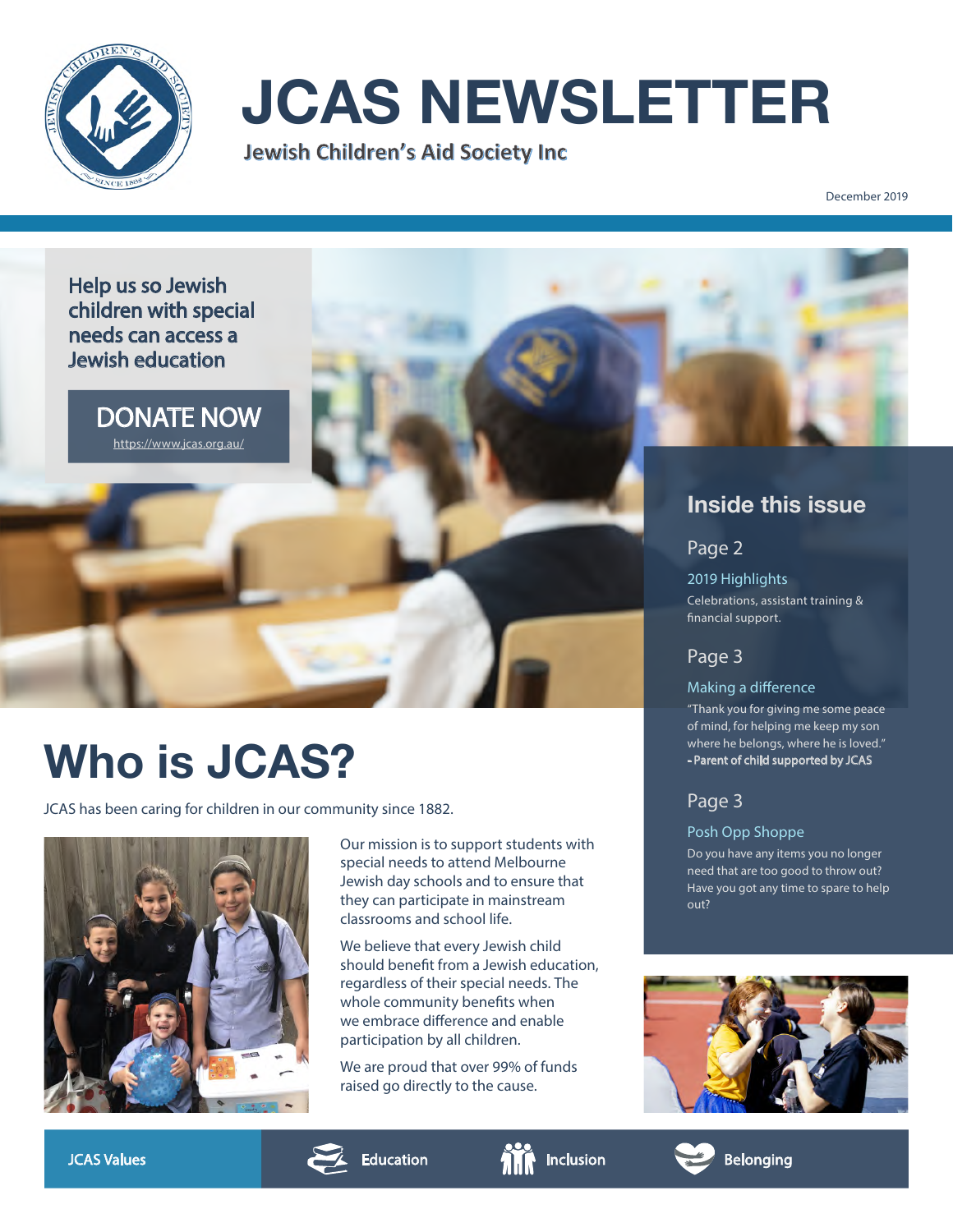

# **JCAS NEWSLETTER**<br>Jewish Children's Aid Society Inc

December 2019

#### Help us so Jewish children with special needs can access a Jewish education

DONATE NOW [https://www.jcas.org.au/](https://www.jcas.org.au/?fbclid=IwAR2ccSw_CqWxzQVyFZjAt0C9FyxT7UAk8_MD-hA3BdfwS3hBRrN8_NrcJU8)

### **Who is JCAS?**

JCAS has been caring for children in our community since 1882.



Our mission is to support students with special needs to attend Melbourne Jewish day schools and to ensure that they can participate in mainstream classrooms and school life.

We believe that every Jewish child should benefit from a Jewish education, regardless of their special needs. The whole community benefits when we embrace difference and enable participation by all children.

We are proud that over 99% of funds raised go directly to the cause.

#### **Inside this issue**

Page 2

2019 Highlights Celebrations, assistant training & financial support.

#### Page 3

#### Making a difference

"Thank you for giving me some peace of mind, for helping me keep my son where he belongs, where he is loved." - Parent of child supported by JCAS

#### Page 3

Posh Opp Shoppe

Do you have any items you no longer need that are too good to throw out? Have you got any time to spare to help out?







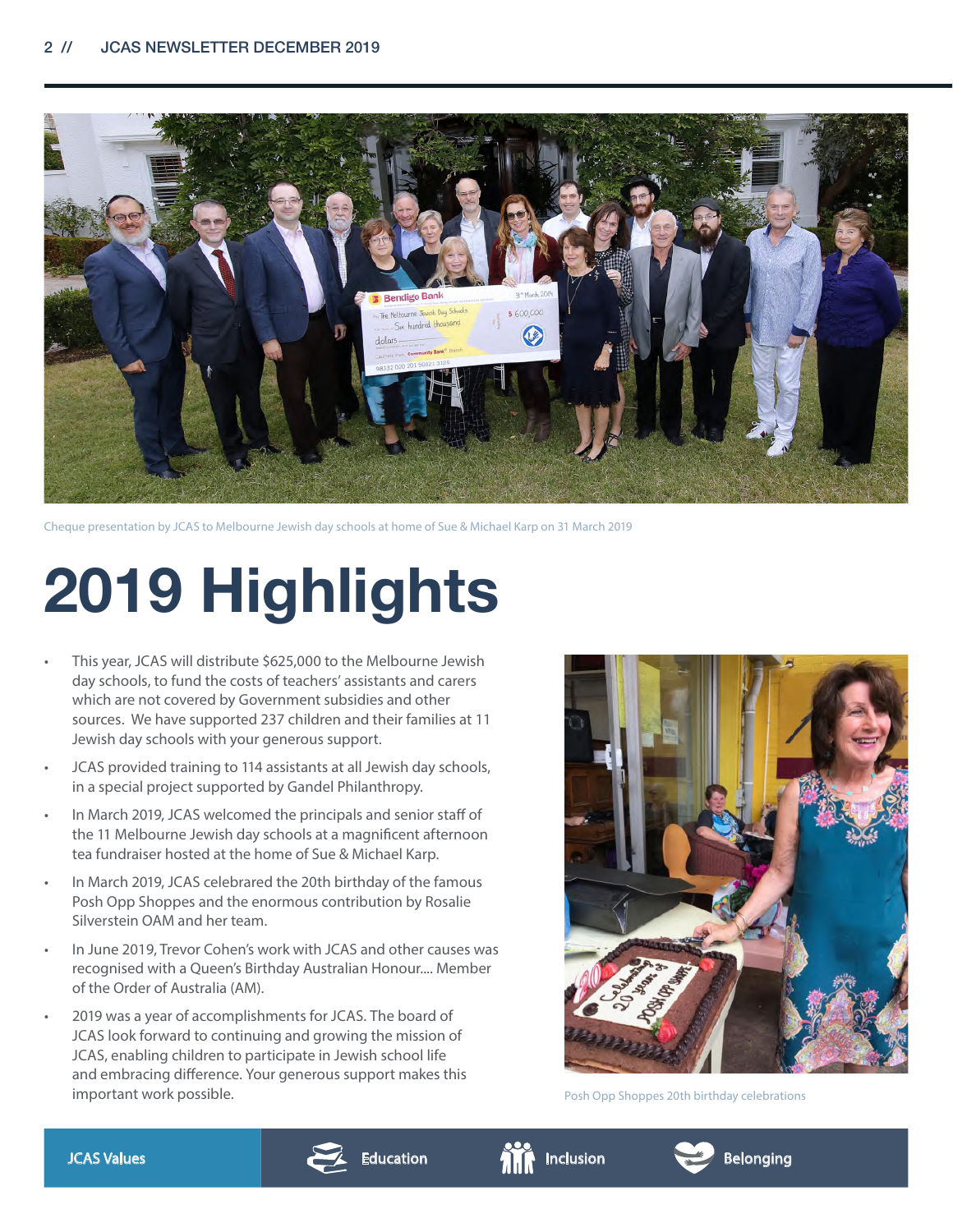

Cheque presentation by JCAS to Melbourne Jewish day schools at home of Sue & Michael Karp on 31 March 2019

## **2019 Highlights**

- This year, JCAS will distribute \$625,000 to the Melbourne Jewish day schools, to fund the costs of teachers' assistants and carers which are not covered by Government subsidies and other sources. We have supported 237 children and their families at 11 Jewish day schools with your generous support.
- JCAS provided training to 114 assistants at all Jewish day schools, in a special project supported by Gandel Philanthropy.
- In March 2019, JCAS welcomed the principals and senior staff of the 11 Melbourne Jewish day schools at a magnificent afternoon tea fundraiser hosted at the home of Sue & Michael Karp.
- In March 2019, JCAS celebrared the 20th birthday of the famous Posh Opp Shoppes and the enormous contribution by Rosalie Silverstein OAM and her team.
- In June 2019, Trevor Cohen's work with JCAS and other causes was recognised with a Queen's Birthday Australian Honour.... Member of the Order of Australia (AM).
- 2019 was a year of accomplishments for JCAS. The board of JCAS look forward to continuing and growing the mission of JCAS, enabling children to participate in Jewish school life and embracing difference. Your generous support makes this important work possible.



Posh Opp Shoppes 20th birthday celebrations





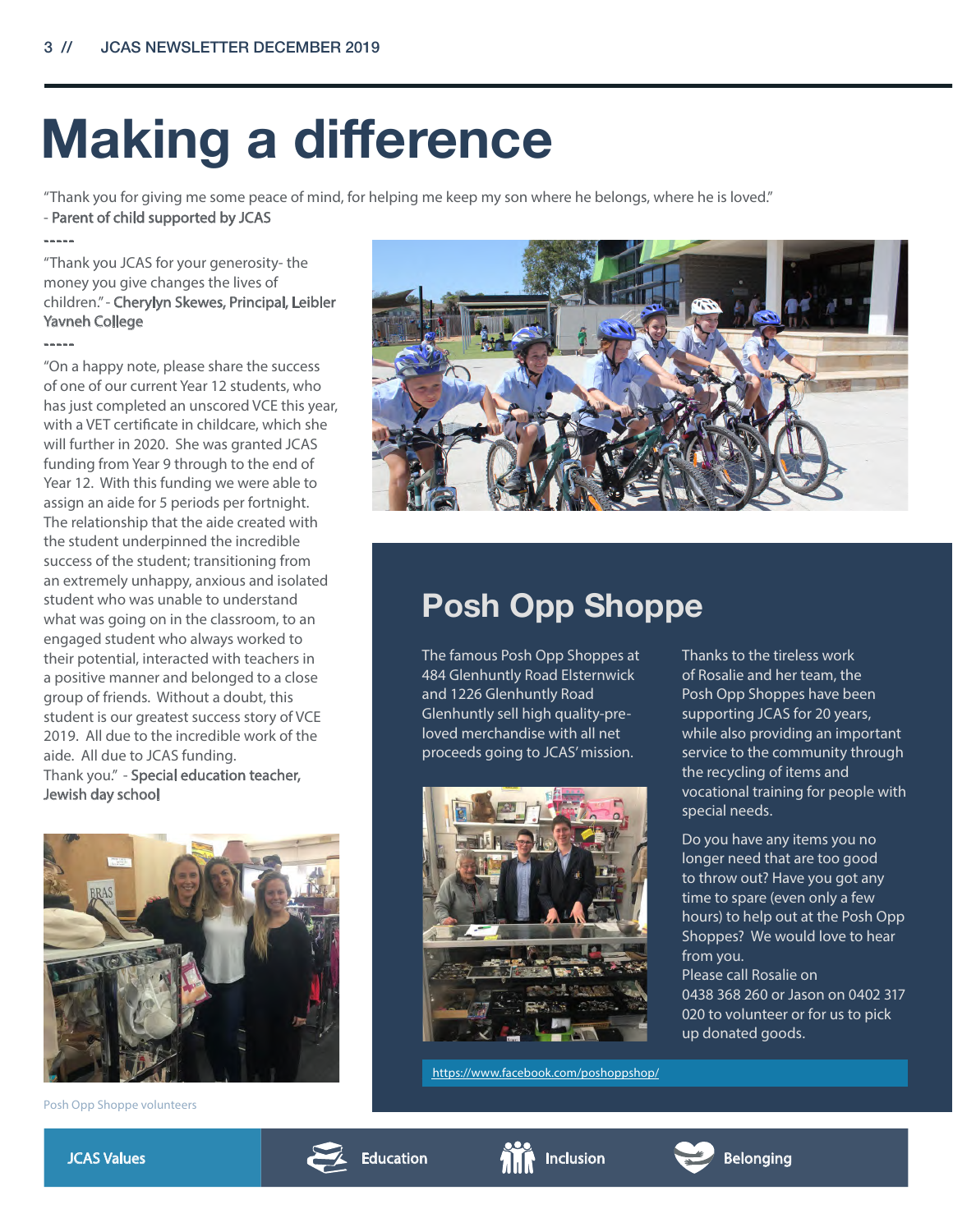## **Making a difference**

"Thank you for giving me some peace of mind, for helping me keep my son where he belongs, where he is loved." - Parent of child supported by JCAS

-----

"Thank you JCAS for your generosity- the money you give changes the lives of children." - Cherylyn Skewes, Principal, Leibler Yavneh College -----

"On a happy note, please share the success of one of our current Year 12 students, who has just completed an unscored VCE this year, with a VET certificate in childcare, which she will further in 2020. She was granted JCAS funding from Year 9 through to the end of Year 12. With this funding we were able to assign an aide for 5 periods per fortnight. The relationship that the aide created with the student underpinned the incredible success of the student; transitioning from an extremely unhappy, anxious and isolated student who was unable to understand what was going on in the classroom, to an engaged student who always worked to their potential, interacted with teachers in a positive manner and belonged to a close group of friends. Without a doubt, this student is our greatest success story of VCE 2019. All due to the incredible work of the aide. All due to JCAS funding. Thank you." - Special education teacher, Jewish day school



Posh Opp Shoppe volunteers



### **Posh Opp Shoppe**

The famous Posh Opp Shoppes at 484 Glenhuntly Road Elsternwick and 1226 Glenhuntly Road Glenhuntly sell high quality-preloved merchandise with all net proceeds going to JCAS' mission.



https://www.facebook.com/poshoppshop/

Thanks to the tireless work of Rosalie and her team, the Posh Opp Shoppes have been supporting JCAS for 20 years, while also providing an important service to the community through the recycling of items and vocational training for people with special needs.

Do you have any items you no longer need that are too good to throw out? Have you got any time to spare (even only a few hours) to help out at the Posh Opp Shoppes? We would love to hear from you.

Please call Rosalie on 0438 368 260 or Jason on 0402 317 020 to volunteer or for us to pick up donated goods.